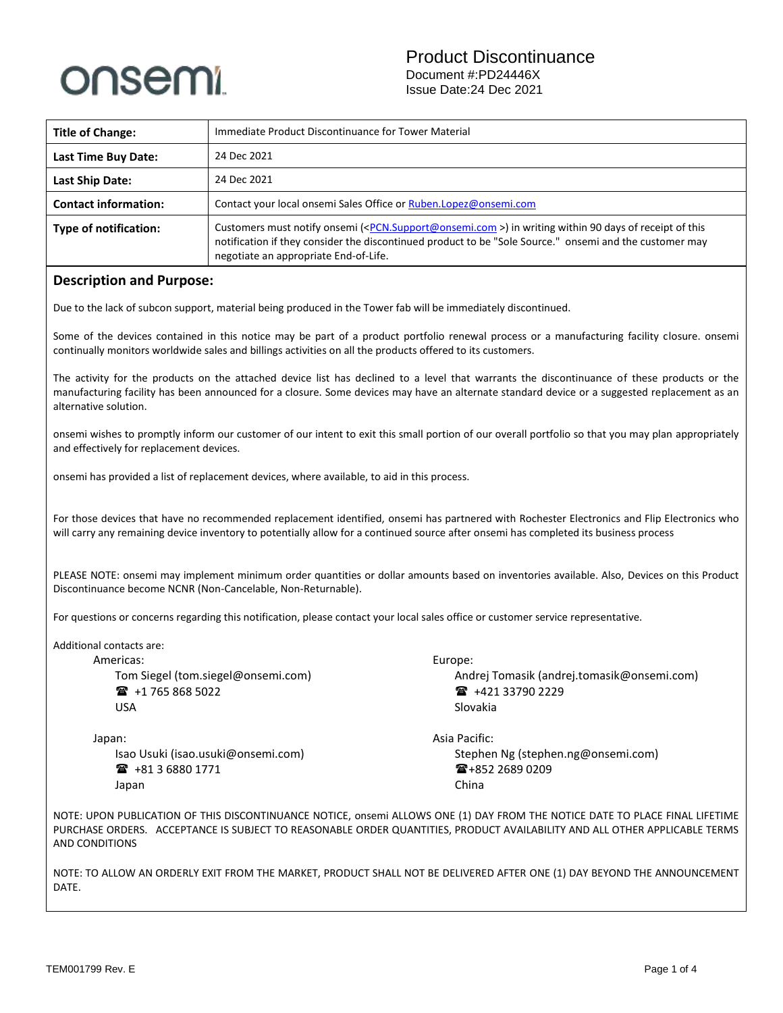# onsemi

| <b>Title of Change:</b>     | Immediate Product Discontinuance for Tower Material                                                                                                                                                                                                                                  |  |  |
|-----------------------------|--------------------------------------------------------------------------------------------------------------------------------------------------------------------------------------------------------------------------------------------------------------------------------------|--|--|
| Last Time Buy Date:         | 24 Dec 2021                                                                                                                                                                                                                                                                          |  |  |
| <b>Last Ship Date:</b>      | 24 Dec 2021                                                                                                                                                                                                                                                                          |  |  |
| <b>Contact information:</b> | Contact your local onsemi Sales Office or Ruben.Lopez@onsemi.com                                                                                                                                                                                                                     |  |  |
| Type of notification:       | Customers must notify onsemi ( <pcn.support@onsemi.com>) in writing within 90 days of receipt of this<br/>notification if they consider the discontinued product to be "Sole Source." onsemi and the customer may<br/>negotiate an appropriate End-of-Life.</pcn.support@onsemi.com> |  |  |

#### **Description and Purpose:**

Due to the lack of subcon support, material being produced in the Tower fab will be immediately discontinued.

Some of the devices contained in this notice may be part of a product portfolio renewal process or a manufacturing facility closure. onsemi continually monitors worldwide sales and billings activities on all the products offered to its customers.

The activity for the products on the attached device list has declined to a level that warrants the discontinuance of these products or the manufacturing facility has been announced for a closure. Some devices may have an alternate standard device or a suggested replacement as an alternative solution.

onsemi wishes to promptly inform our customer of our intent to exit this small portion of our overall portfolio so that you may plan appropriately and effectively for replacement devices.

onsemi has provided a list of replacement devices, where available, to aid in this process.

For those devices that have no recommended replacement identified, onsemi has partnered with Rochester Electronics and Flip Electronics who will carry any remaining device inventory to potentially allow for a continued source after onsemi has completed its business process

PLEASE NOTE: onsemi may implement minimum order quantities or dollar amounts based on inventories available. Also, Devices on this Product Discontinuance become NCNR (Non-Cancelable, Non-Returnable).

For questions or concerns regarding this notification, please contact your local sales office or customer service representative.

Additional contacts are:

Americas: Tom Siegel (tom.siegel@onsemi.com) +1 765 868 5022 USA

Japan: Isao Usuki (isao.usuki@onsemi.com) +81 3 6880 1771

Japan

Europe: Andrej Tomasik (andrej.tomasik@onsemi.com) ■ +421 33790 2229 Slovakia

Asia Pacific: Stephen Ng (stephen.ng@onsemi.com) ■+852 2689 0209 China

NOTE: UPON PUBLICATION OF THIS DISCONTINUANCE NOTICE, onsemi ALLOWS ONE (1) DAY FROM THE NOTICE DATE TO PLACE FINAL LIFETIME PURCHASE ORDERS. ACCEPTANCE IS SUBJECT TO REASONABLE ORDER QUANTITIES, PRODUCT AVAILABILITY AND ALL OTHER APPLICABLE TERMS AND CONDITIONS

NOTE: TO ALLOW AN ORDERLY EXIT FROM THE MARKET, PRODUCT SHALL NOT BE DELIVERED AFTER ONE (1) DAY BEYOND THE ANNOUNCEMENT DATE.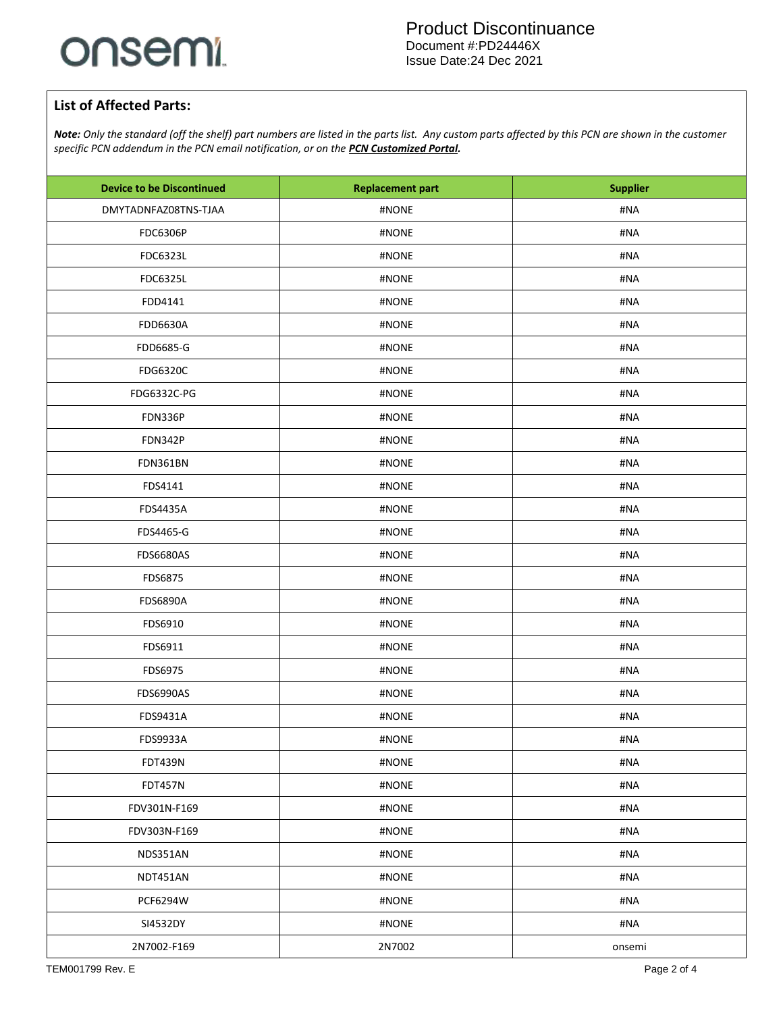# onsemi.

### **List of Affected Parts:**

*Note: Only the standard (off the shelf) part numbers are listed in the parts list. Any custom parts affected by this PCN are shown in the customer specific PCN addendum in the PCN email notification, or on the [PCN Customized Portal.](https://www.onsemi.com/PowerSolutions/pcn.do)*

| <b>Device to be Discontinued</b> | <b>Replacement part</b> | <b>Supplier</b> |  |
|----------------------------------|-------------------------|-----------------|--|
| DMYTADNFAZ08TNS-TJAA             | #NONE                   | #NA             |  |
| <b>FDC6306P</b>                  | #NONE                   | #NA             |  |
| FDC6323L                         | #NONE                   | #NA             |  |
| <b>FDC6325L</b>                  | #NONE                   | #NA             |  |
| FDD4141                          | #NONE                   | #NA             |  |
| <b>FDD6630A</b>                  | #NONE                   | #NA             |  |
| FDD6685-G                        | #NONE                   | #NA             |  |
| FDG6320C                         | #NONE                   | #NA             |  |
| FDG6332C-PG                      | #NONE                   | #NA             |  |
| FDN336P                          | #NONE                   | #NA             |  |
| <b>FDN342P</b>                   | #NONE                   | #NA             |  |
| FDN361BN                         | #NONE                   | #NA             |  |
| FDS4141                          | #NONE                   | #NA             |  |
| <b>FDS4435A</b>                  | #NONE                   | #NA             |  |
| FDS4465-G                        | #NONE                   | #NA             |  |
| <b>FDS6680AS</b>                 | #NONE                   | #NA             |  |
| FDS6875                          | #NONE                   | #NA             |  |
| <b>FDS6890A</b>                  | #NONE                   | #NA             |  |
| FDS6910                          | #NONE                   | #NA             |  |
| FDS6911                          | #NONE                   | #NA             |  |
| FDS6975                          | #NONE                   | #NA             |  |
| <b>FDS6990AS</b>                 | #NONE                   | #NA             |  |
| FDS9431A                         | #NONE                   | #NA             |  |
| <b>FDS9933A</b>                  | #NONE                   | #NA             |  |
| <b>FDT439N</b>                   | #NONE                   | #NA             |  |
| <b>FDT457N</b>                   | #NONE                   | #NA             |  |
| FDV301N-F169                     | #NONE                   | #NA             |  |
| FDV303N-F169                     | #NONE                   | #NA             |  |
| NDS351AN                         | #NONE                   | #NA             |  |
| NDT451AN                         | #NONE                   | #NA             |  |
| <b>PCF6294W</b>                  | #NONE                   | #NA             |  |
| SI4532DY                         | #NONE                   | #NA             |  |
| 2N7002-F169                      | 2N7002                  | onsemi          |  |
|                                  |                         |                 |  |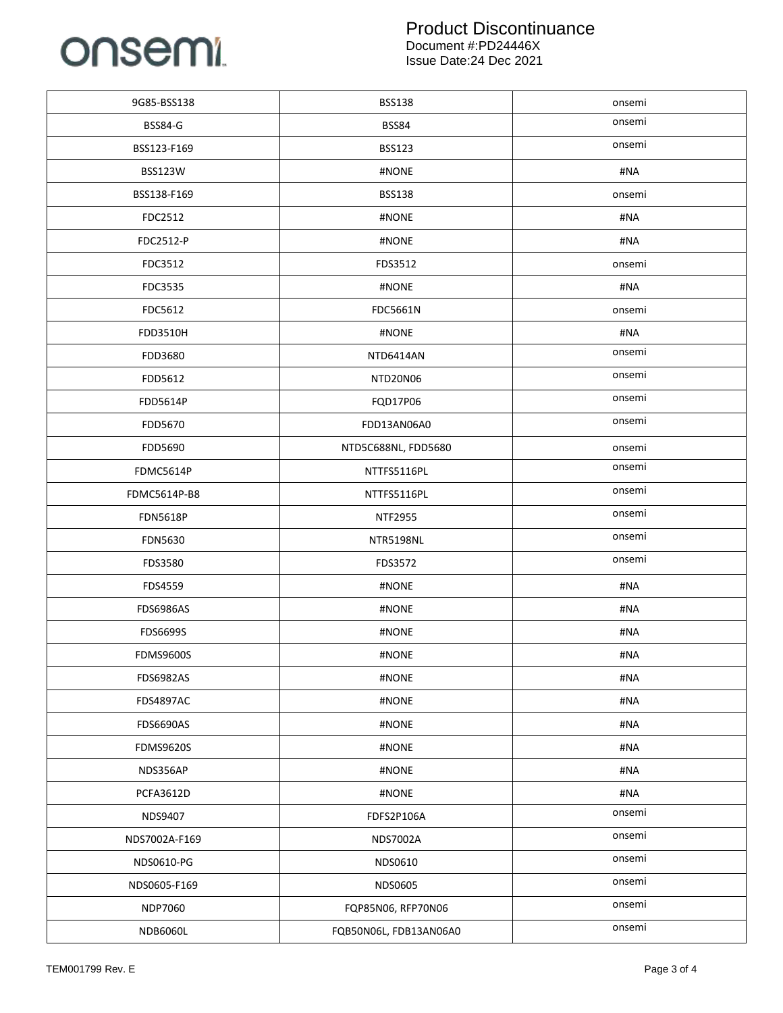# onsemi

#### Product Discontinuance Document #:PD24446X Issue Date:24 Dec 2021

| 9G85-BSS138      | <b>BSS138</b>          | onsemi |
|------------------|------------------------|--------|
| <b>BSS84-G</b>   | <b>BSS84</b>           | onsemi |
| BSS123-F169      | <b>BSS123</b>          | onsemi |
| <b>BSS123W</b>   | #NONE                  | #NA    |
| BSS138-F169      | <b>BSS138</b>          | onsemi |
| FDC2512          | #NONE                  | #NA    |
| FDC2512-P        | #NONE                  | #NA    |
| FDC3512          | FDS3512                | onsemi |
| FDC3535          | #NONE                  | #NA    |
| FDC5612          | FDC5661N               | onsemi |
| FDD3510H         | #NONE                  | #NA    |
| FDD3680          | NTD6414AN              | onsemi |
| FDD5612          | NTD20N06               | onsemi |
| FDD5614P         | FQD17P06               | onsemi |
| FDD5670          | FDD13AN06A0            | onsemi |
| FDD5690          | NTD5C688NL, FDD5680    | onsemi |
| FDMC5614P        | NTTFS5116PL            | onsemi |
| FDMC5614P-B8     | NTTFS5116PL            | onsemi |
| <b>FDN5618P</b>  | <b>NTF2955</b>         | onsemi |
| <b>FDN5630</b>   | NTR5198NL              | onsemi |
| FDS3580          | FDS3572                | onsemi |
| FDS4559          | #NONE                  | #NA    |
| <b>FDS6986AS</b> | #NONE                  | #NA    |
| <b>FDS6699S</b>  | #NONE                  | #NA    |
| <b>FDMS9600S</b> | #NONE                  | #NA    |
| <b>FDS6982AS</b> | #NONE                  | #NA    |
| <b>FDS4897AC</b> | #NONE                  | #NA    |
| <b>FDS6690AS</b> | #NONE                  | #NA    |
| <b>FDMS9620S</b> | #NONE                  | #NA    |
| NDS356AP         | #NONE                  | #NA    |
| PCFA3612D        | #NONE                  | #NA    |
| NDS9407          | FDFS2P106A             | onsemi |
| NDS7002A-F169    | NDS7002A               | onsemi |
| NDS0610-PG       | NDS0610                | onsemi |
| NDS0605-F169     | <b>NDS0605</b>         | onsemi |
| <b>NDP7060</b>   | FQP85N06, RFP70N06     | onsemi |
| NDB6060L         | FQB50N06L, FDB13AN06A0 | onsemi |
|                  |                        |        |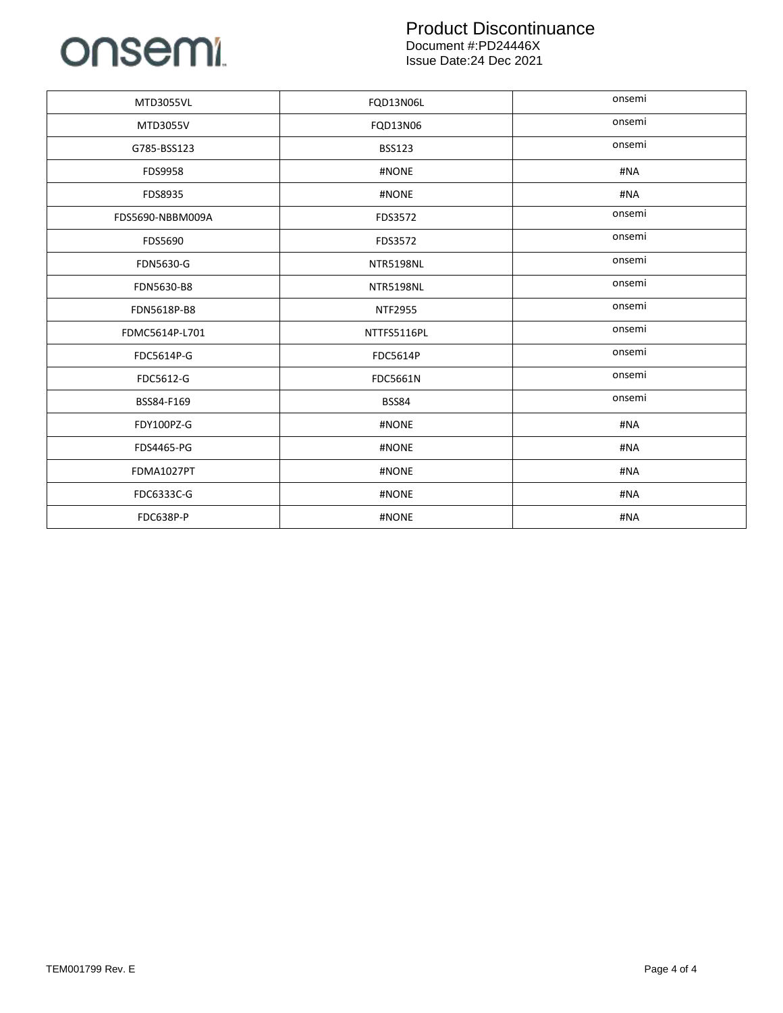## onsemi

#### Product Discontinuance Document #:PD24446X Issue Date:24 Dec 2021

| <b>MTD3055VL</b> | FQD13N06L        | onsemi |
|------------------|------------------|--------|
| MTD3055V         | FQD13N06         | onsemi |
| G785-BSS123      | <b>BSS123</b>    | onsemi |
| FDS9958          | #NONE            | #NA    |
| FDS8935          | #NONE            | #NA    |
| FDS5690-NBBM009A | FDS3572          | onsemi |
| FDS5690          | FDS3572          | onsemi |
| FDN5630-G        | <b>NTR5198NL</b> | onsemi |
| FDN5630-B8       | <b>NTR5198NL</b> | onsemi |
| FDN5618P-B8      | <b>NTF2955</b>   | onsemi |
| FDMC5614P-L701   | NTTFS5116PL      | onsemi |
| FDC5614P-G       | <b>FDC5614P</b>  | onsemi |
| FDC5612-G        | <b>FDC5661N</b>  | onsemi |
| BSS84-F169       | <b>BSS84</b>     | onsemi |
| FDY100PZ-G       | #NONE            | #NA    |
| FDS4465-PG       | #NONE            | #NA    |
| FDMA1027PT       | #NONE            | #NA    |
| FDC6333C-G       | #NONE            | #NA    |
| FDC638P-P        | #NONE            | #NA    |